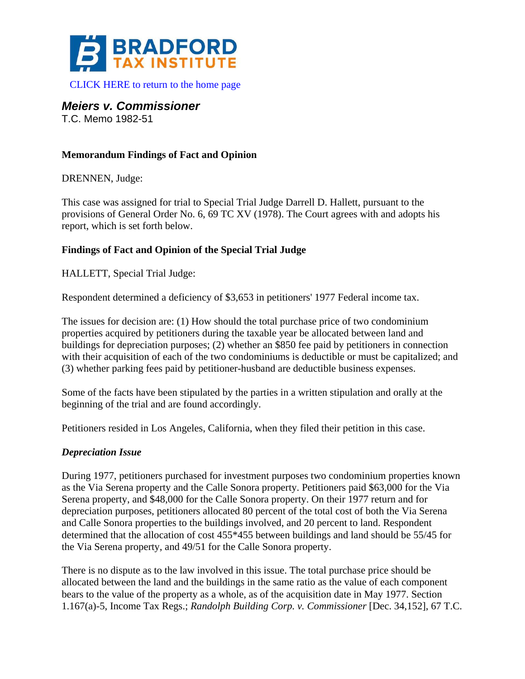

[CLICK HERE to return to the home page](http://bradfordtaxinstitute.com/index1.aspx) 

*Meiers v. Commissioner* 

T.C. Memo 1982-51

## **Memorandum Findings of Fact and Opinion**

DRENNEN, Judge:

This case was assigned for trial to Special Trial Judge Darrell D. Hallett, pursuant to the provisions of General Order No. 6, 69 TC XV (1978). The Court agrees with and adopts his report, which is set forth below.

## **Findings of Fact and Opinion of the Special Trial Judge**

HALLETT, Special Trial Judge:

Respondent determined a deficiency of \$3,653 in petitioners' 1977 Federal income tax.

The issues for decision are: (1) How should the total purchase price of two condominium properties acquired by petitioners during the taxable year be allocated between land and buildings for depreciation purposes; (2) whether an \$850 fee paid by petitioners in connection with their acquisition of each of the two condominiums is deductible or must be capitalized; and (3) whether parking fees paid by petitioner-husband are deductible business expenses.

Some of the facts have been stipulated by the parties in a written stipulation and orally at the beginning of the trial and are found accordingly.

Petitioners resided in Los Angeles, California, when they filed their petition in this case.

## *Depreciation Issue*

During 1977, petitioners purchased for investment purposes two condominium properties known as the Via Serena property and the Calle Sonora property. Petitioners paid \$63,000 for the Via Serena property, and \$48,000 for the Calle Sonora property. On their 1977 return and for depreciation purposes, petitioners allocated 80 percent of the total cost of both the Via Serena and Calle Sonora properties to the buildings involved, and 20 percent to land. Respondent determined that the allocation of cost 455\*455 between buildings and land should be 55/45 for the Via Serena property, and 49/51 for the Calle Sonora property.

There is no dispute as to the law involved in this issue. The total purchase price should be allocated between the land and the buildings in the same ratio as the value of each component bears to the value of the property as a whole, as of the acquisition date in May 1977. Section 1.167(a)-5, Income Tax Regs.; *Randolph Building Corp. v. Commissioner* [Dec. 34,152], 67 T.C.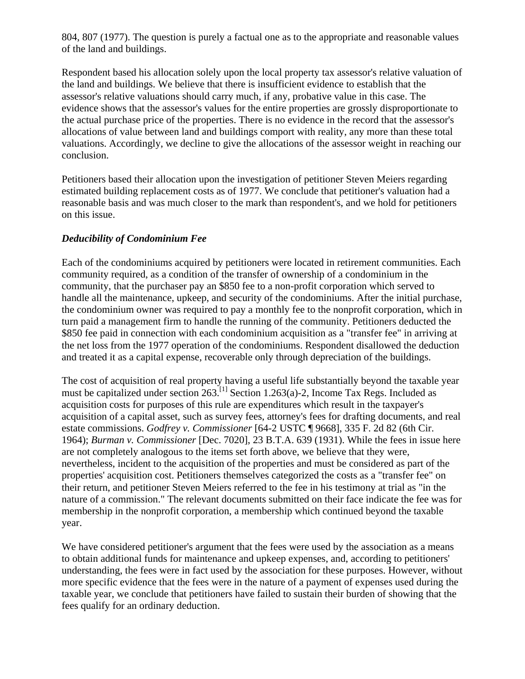804, 807 (1977). The question is purely a factual one as to the appropriate and reasonable values of the land and buildings.

Respondent based his allocation solely upon the local property tax assessor's relative valuation of the land and buildings. We believe that there is insufficient evidence to establish that the assessor's relative valuations should carry much, if any, probative value in this case. The evidence shows that the assessor's values for the entire properties are grossly disproportionate to the actual purchase price of the properties. There is no evidence in the record that the assessor's allocations of value between land and buildings comport with reality, any more than these total valuations. Accordingly, we decline to give the allocations of the assessor weight in reaching our conclusion.

Petitioners based their allocation upon the investigation of petitioner Steven Meiers regarding estimated building replacement costs as of 1977. We conclude that petitioner's valuation had a reasonable basis and was much closer to the mark than respondent's, and we hold for petitioners on this issue.

## *Deducibility of Condominium Fee*

Each of the condominiums acquired by petitioners were located in retirement communities. Each community required, as a condition of the transfer of ownership of a condominium in the community, that the purchaser pay an \$850 fee to a non-profit corporation which served to handle all the maintenance, upkeep, and security of the condominiums. After the initial purchase, the condominium owner was required to pay a monthly fee to the nonprofit corporation, which in turn paid a management firm to handle the running of the community. Petitioners deducted the \$850 fee paid in connection with each condominium acquisition as a "transfer fee" in arriving at the net loss from the 1977 operation of the condominiums. Respondent disallowed the deduction and treated it as a capital expense, recoverable only through depreciation of the buildings.

The cost of acquisition of real property having a useful life substantially beyond the taxable year must be capitalized under section  $263$ <sup>[1]</sup> Section 1.263(a)-2, Income Tax Regs. Included as acquisition costs for purposes of this rule are expenditures which result in the taxpayer's acquisition of a capital asset, such as survey fees, attorney's fees for drafting documents, and real estate commissions. *Godfrey v. Commissioner* [64-2 USTC ¶ 9668], 335 F. 2d 82 (6th Cir. 1964); *Burman v. Commissioner* [Dec. 7020], 23 B.T.A. 639 (1931). While the fees in issue here are not completely analogous to the items set forth above, we believe that they were, nevertheless, incident to the acquisition of the properties and must be considered as part of the properties' acquisition cost. Petitioners themselves categorized the costs as a "transfer fee" on their return, and petitioner Steven Meiers referred to the fee in his testimony at trial as "in the nature of a commission." The relevant documents submitted on their face indicate the fee was for membership in the nonprofit corporation, a membership which continued beyond the taxable year.

We have considered petitioner's argument that the fees were used by the association as a means to obtain additional funds for maintenance and upkeep expenses, and, according to petitioners' understanding, the fees were in fact used by the association for these purposes. However, without more specific evidence that the fees were in the nature of a payment of expenses used during the taxable year, we conclude that petitioners have failed to sustain their burden of showing that the fees qualify for an ordinary deduction.